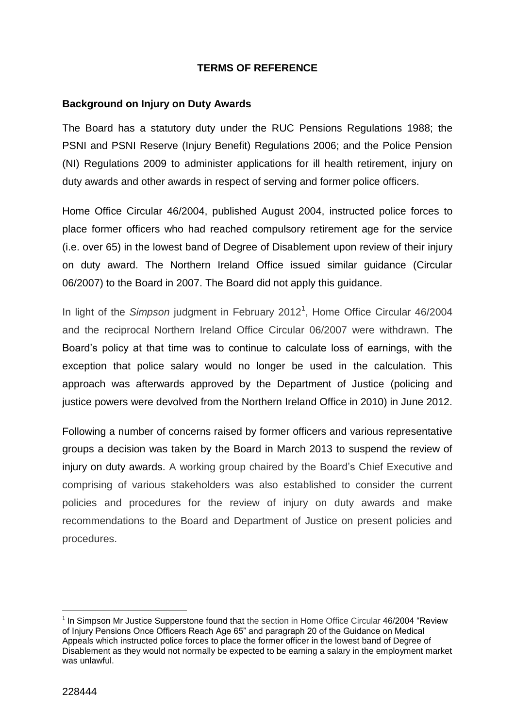## **TERMS OF REFERENCE**

## **Background on Injury on Duty Awards**

The Board has a statutory duty under the RUC Pensions Regulations 1988; the PSNI and PSNI Reserve (Injury Benefit) Regulations 2006; and the Police Pension (NI) Regulations 2009 to administer applications for ill health retirement, injury on duty awards and other awards in respect of serving and former police officers.

Home Office Circular 46/2004, published August 2004, instructed police forces to place former officers who had reached compulsory retirement age for the service (i.e. over 65) in the lowest band of Degree of Disablement upon review of their injury on duty award. The Northern Ireland Office issued similar guidance (Circular 06/2007) to the Board in 2007. The Board did not apply this guidance.

In light of the *Simpson* judgment in February 2012<sup>1</sup> , Home Office Circular 46/2004 and the reciprocal Northern Ireland Office Circular 06/2007 were withdrawn. The Board's policy at that time was to continue to calculate loss of earnings, with the exception that police salary would no longer be used in the calculation. This approach was afterwards approved by the Department of Justice (policing and justice powers were devolved from the Northern Ireland Office in 2010) in June 2012.

Following a number of concerns raised by former officers and various representative groups a decision was taken by the Board in March 2013 to suspend the review of injury on duty awards. A working group chaired by the Board's Chief Executive and comprising of various stakeholders was also established to consider the current policies and procedures for the review of injury on duty awards and make recommendations to the Board and Department of Justice on present policies and procedures.

1

 $1$  In Simpson Mr Justice Supperstone found that the section in Home Office Circular 46/2004 "Review of Injury Pensions Once Officers Reach Age 65" and paragraph 20 of the Guidance on Medical Appeals which instructed police forces to place the former officer in the lowest band of Degree of Disablement as they would not normally be expected to be earning a salary in the employment market was unlawful.